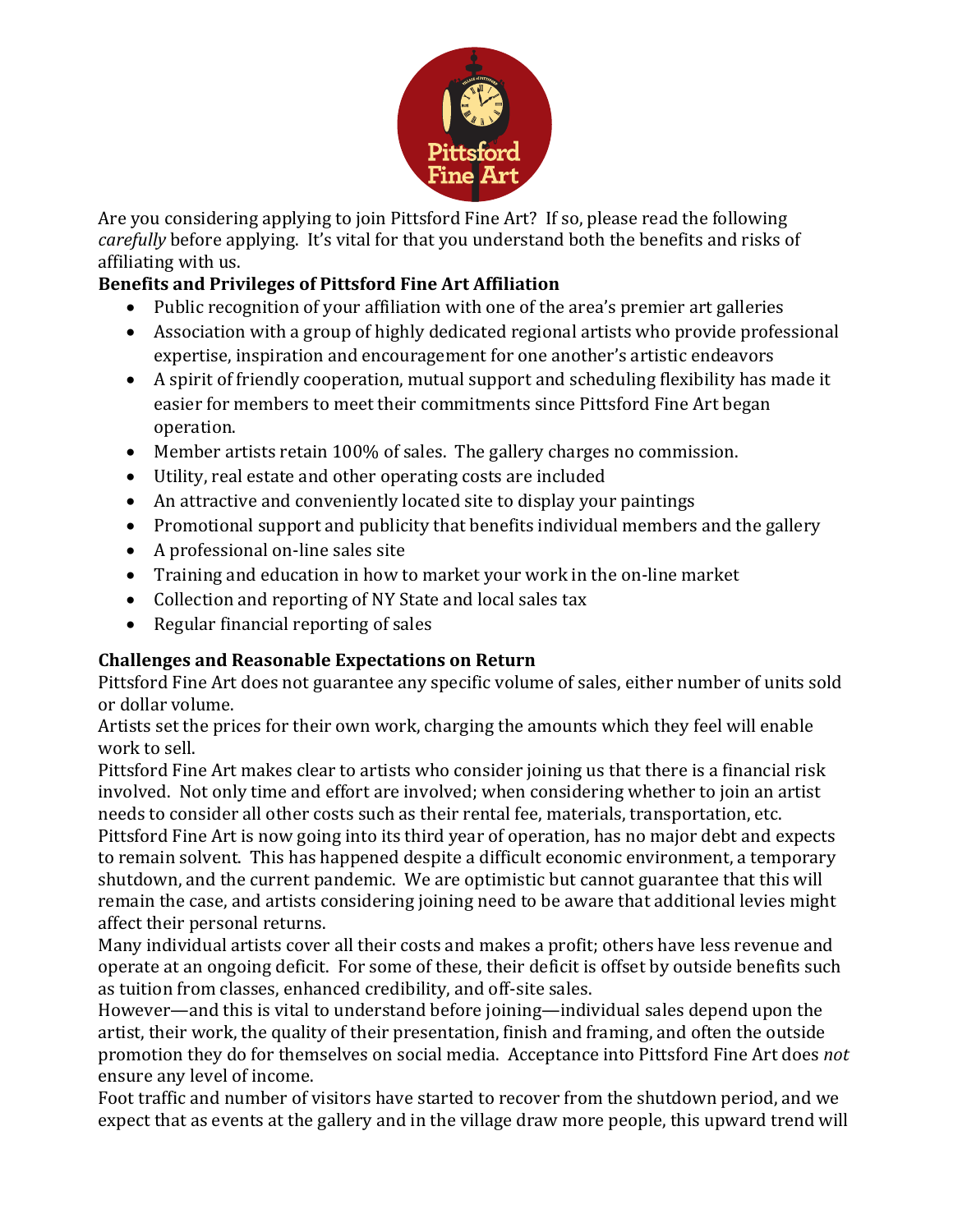

Are you considering applying to join Pittsford Fine Art? If so, please read the following *carefully* before applying. It's vital for that you understand both the benefits and risks of affiliating with us.

## **Benefits and Privileges of Pittsford Fine Art Affiliation**

- Public recognition of your affiliation with one of the area's premier art galleries
- Association with a group of highly dedicated regional artists who provide professional expertise, inspiration and encouragement for one another's artistic endeavors
- A spirit of friendly cooperation, mutual support and scheduling flexibility has made it easier for members to meet their commitments since Pittsford Fine Art began operation.
- Member artists retain  $100\%$  of sales. The gallery charges no commission.
- Utility, real estate and other operating costs are included
- An attractive and conveniently located site to display your paintings
- Promotional support and publicity that benefits individual members and the gallery
- $\bullet$  A professional on-line sales site
- Training and education in how to market your work in the on-line market
- Collection and reporting of NY State and local sales tax
- $\bullet$  Regular financial reporting of sales

## **Challenges and Reasonable Expectations on Return**

Pittsford Fine Art does not guarantee any specific volume of sales, either number of units sold or dollar volume.

Artists set the prices for their own work, charging the amounts which they feel will enable work to sell.

Pittsford Fine Art makes clear to artists who consider joining us that there is a financial risk involved. Not only time and effort are involved; when considering whether to join an artist needs to consider all other costs such as their rental fee, materials, transportation, etc.

Pittsford Fine Art is now going into its third year of operation, has no major debt and expects to remain solvent. This has happened despite a difficult economic environment, a temporary shutdown, and the current pandemic. We are optimistic but cannot guarantee that this will remain the case, and artists considering joining need to be aware that additional levies might affect their personal returns.

Many individual artists cover all their costs and makes a profit; others have less revenue and operate at an ongoing deficit. For some of these, their deficit is offset by outside benefits such as tuition from classes, enhanced credibility, and off-site sales.

However—and this is vital to understand before joining—individual sales depend upon the artist, their work, the quality of their presentation, finish and framing, and often the outside promotion they do for themselves on social media. Acceptance into Pittsford Fine Art does not ensure any level of income.

Foot traffic and number of visitors have started to recover from the shutdown period, and we expect that as events at the gallery and in the village draw more people, this upward trend will